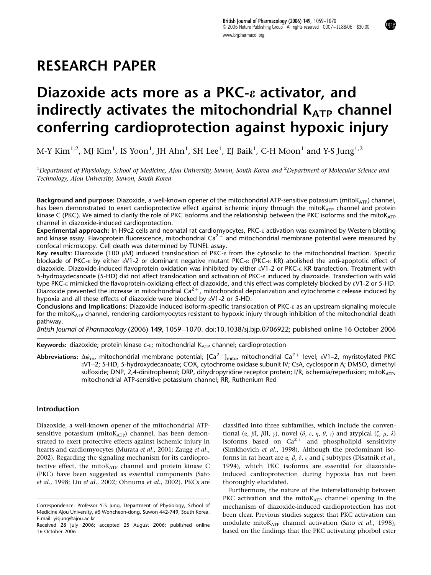## RESEARCH PAPER

# Diazoxide acts more as a PKC- $\varepsilon$  activator, and indirectly activates the mitochondrial  $K_{ATP}$  channel conferring cardioprotection against hypoxic injury

M-Y Kim $^{1,2}$ , MJ Kim $^{1}$ , IS Yoon $^{1}$ , JH Ahn $^{1}$ , SH Lee $^{1}$ , EJ Baik $^{1}$ , C-H Moon $^{1}$  and Y-S Jung $^{1,2}$ 

 $^1$ Department of Physiology, School of Medicine, Ajou University, Suwon, South Korea and  $^2$ Department of Molecular Science and Technology, Ajou University, Suwon, South Korea

Background and purpose: Diazoxide, a well-known opener of the mitochondrial ATP-sensitive potassium (mitoK<sub>ATP</sub>) channel, has been demonstrated to exert cardioprotective effect against ischemic injury through the mito $K_{ATP}$  channel and protein kinase C (PKC). We aimed to clarify the role of PKC isoforms and the relationship between the PKC isoforms and the mitoK $_{ATP}$ channel in diazoxide-induced cardioprotection.

Experimental approach: In H9c2 cells and neonatal rat cardiomyocytes, PKC-e activation was examined by Western blotting and kinase assay. Flavoprotein fluorescence, mitochondrial Ca<sup>2+</sup> and mitochondrial membrane potential were measured by confocal microscopy. Cell death was determined by TUNEL assay.

Key results: Diazoxide (100  $\mu$ M) induced translocation of PKC- $\epsilon$  from the cytosolic to the mitochondrial fraction. Specific blockade of PKC-e by either eV1-2 or dominant negative mutant PKC-e (PKC-e KR) abolished the anti-apoptotic effect of diazoxide. Diazoxide-induced flavoprotein oxidation was inhibited by either eV1-2 or PKC-e KR transfection. Treatment with 5-hydroxydecanoate (5-HD) did not affect translocation and activation of PKC-e induced by diazoxide. Transfection with wild type PKC-e mimicked the flavoprotein-oxidizing effect of diazoxide, and this effect was completely blocked by eV1-2 or 5-HD. Diazoxide prevented the increase in mitochondrial  $Ca^{2+}$ , mitochondrial depolarization and cytochrome c release induced by hypoxia and all these effects of diazoxide were blocked by eV1-2 or 5-HD.

Conclusions and Implications: Diazoxide induced isoform-specific translocation of PKC-e as an upstream signaling molecule for the mito $K_{ATP}$  channel, rendering cardiomyocytes resistant to hypoxic injury through inhibition of the mitochondrial death pathway.

British Journal of Pharmacology (2006) 149, 1059–1070. doi:10.1038/sj.bjp.0706922; published online 16 October 2006

Keywords: diazoxide; protein kinase c- $\varepsilon$ ; mitochondrial K<sub>ATP</sub> channel; cardioprotection

Abbreviations:  $\Delta\psi_m$ , mitochondrial membrane potential; [Ca<sup>2+</sup>]<sub>mito</sub>, mitochondrial Ca<sup>2+</sup> level;  $\epsilon$ V1–2, myristoylated PKC eV1–2; 5-HD, 5-hydroxydecanoate; COX, cytochrome oxidase subunit IV; CsA, cyclosporin A; DMSO, dimethyl sulfoxide; DNP, 2,4-dinitrophenol; DRP, dihydropyridine receptor protein; I/R, ischemia/reperfusion; mitoK<sub>ATP</sub>, mitochondrial ATP-sensitive potassium channel; RR, Ruthenium Red

## Introduction

Diazoxide, a well-known opener of the mitochondrial ATPsensitive potassium (mito $K_{ATP}$ ) channel, has been demonstrated to exert protective effects against ischemic injury in hearts and cardiomyocytes (Murata *et al.*, 2001; Zaugg *et al.*, 2002). Regarding the signaling mechanism for its cardioprotective effect, the mito $K_{ATP}$  channel and protein kinase C (PKC) have been suggested as essential components (Sato et al., 1998; Liu et al., 2002; Ohnuma et al., 2002). PKCs are classified into three subfamilies, which include the conventional ( $\alpha$ ,  $\beta$ I,  $\beta$ II,  $\gamma$ ), novel ( $\delta$ ,  $\varepsilon$ ,  $\eta$ ,  $\theta$ ,  $\iota$ ) and atypical ( $\zeta$ ,  $\mu$ ,  $\lambda$ ) isoforms based on  $Ca^{2+}$  and phospholipid sensitivity (Simkhovich et al., 1998). Although the predominant isoforms in rat heart are  $\alpha$ ,  $\beta$ ,  $\delta$ ,  $\varepsilon$  and  $\zeta$  subtypes (Disatnik *et al.*, 1994), which PKC isoforms are essential for diazoxideinduced cardioprotection during hypoxia has not been thoroughly elucidated.

Furthermore, the nature of the interrelationship between PKC activation and the mito $K_{ATP}$  channel opening in the mechanism of diazoxide-induced cardioprotection has not been clear. Previous studies suggest that PKC activation can modulate mitoK<sub>ATP</sub> channel activation (Sato et al., 1998), based on the findings that the PKC activating phorbol ester

Correspondence: Professor Y-S Jung, Department of Physiology, School of Medicine Ajou University, #5 Woncheon-dong, Suwon 442-749, South Korea. E-mail: yisjung@ajou.ac.kr

Received 28 July 2006; accepted 25 August 2006; published online 16 October 2006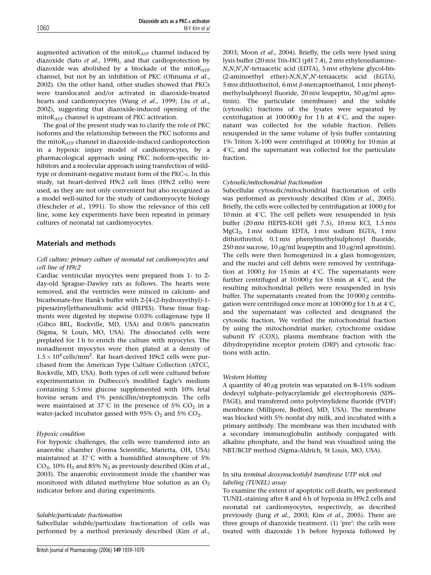augmented activation of the mito $K_{ATP}$  channel induced by diazoxide (Sato et al., 1998), and that cardioprotection by diazoxide was abolished by a blockade of the mitoKATP channel, but not by an inhibition of PKC (Ohnuma et al., 2002). On the other hand, other studies showed that PKCs were translocated and/or activated in diazoxide-treated hearts and cardiomyocytes (Wang et al., 1999; Liu et al., 2002), suggesting that diazoxide-induced opening of the mitoKATP channel is upstream of PKC activation.

The goal of the present study was to clarify the role of PKC isoforms and the relationship between the PKC isoforms and the mitoKATP channel in diazoxide-induced cardioprotection in a hypoxic injury model of cardiomyocytes, by a pharmacological approach using PKC isoform-specific inhibitors and a molecular approach using transfection of wildtype or dominant-negative mutant form of the PKC-e. In this study, rat heart-derived H9c2 cell lines (H9c2 cells) were used, as they are not only convenient but also recognized as a model well-suited for the study of cardiomyocyte biology (Hescheler et al., 1991). To show the relevance of this cell line, some key experiments have been repeated in primary cultures of neonatal rat cardiomyocytes.

## Materials and methods

## Cell culture: primary culture of neonatal rat cardiomyocytes and cell line of H9c2

Cardiac ventricular myocytes were prepared from 1- to 2 day-old Sprague–Dawley rats as follows. The hearts were removed, and the ventricles were minced in calcium- and bicarbonate-free Hank's buffer with 2-[4-(2-hydroxyethyl)-1 piperazinyl]ethanesulfonic acid (HEPES). These tissue fragments were digested by stepwise 0.03% collagenase type II (Gibco BRL, Rockville, MD, USA) and 0.06% pancreatin (Sigma, St Louis, MO, USA). The dissociated cells were preplated for 1 h to enrich the culture with myocytes. The nonadherent myocytes were then plated at a density of  $1.5 \times 10^4$  cells/mm<sup>2</sup>. Rat heart-derived H9c2 cells were purchased from the American Type Culture Collection (ATCC, Rockville, MD, USA). Both types of cell were cultured before experimentation in Dulbecco's modified Eagle's medium containing 5.5 mM glucose supplemented with 10% fetal bovine serum and 1% penicillin/streptomycin. The cells were maintained at 37 $\degree$ C in the presence of 5% CO<sub>2</sub> in a water-jacked incubator gassed with 95%  $O_2$  and 5%  $CO_2$ .

## Hypoxic condition

For hypoxic challenges, the cells were transferred into an anaerobic chamber (Forma Scientific, Marietta, OH, USA) maintained at  $37^{\circ}$ C with a humidified atmosphere of 5%  $CO<sub>2</sub>$ , 10% H<sub>2</sub> and 85% N<sub>2</sub> as previously described (Kim *et al.*, 2003). The anaerobic environment inside the chamber was monitored with diluted methylene blue solution as an  $O<sub>2</sub>$ indicator before and during experiments.

## Soluble/particulate fractionation

Subcellular soluble/particulate fractionation of cells was performed by a method previously described (Kim et al., 2003; Moon et al., 2004). Briefly, the cells were lysed using lysis buffer (20 mM Tris-HCl (pH 7.4), 2 mM ethylenediamine-N,N,N',N'-tetraacetic acid (EDTA), 5 mM ethylene glycol-bis-(2-aminoethyl ether)-N,N,N',N'-tetraacetic acid (EGTA), 5 mM dithiothreitol, 6 mM  $\beta$ -mercaptoethanol, 1 mM phenylmethylsulphonyl fluoride, 20 mM leupeptin, 50  $\mu$ g/ml aprotinin). The particulate (membrane) and the soluble (cytosolic) fractions of the lysates were separated by centrifugation at  $100000g$  for 1h at 4°C, and the supernatant was collected for the soluble fraction. Pellets resuspended in the same volume of lysis buffer containing 1% Triton X-100 were centrifuged at  $10000g$  for 10 min at  $4^{\circ}$ C, and the supernatant was collected for the particulate fraction.

## Cytosolic/mitochondrial fractionation

Subcellular cytosolic/mitochondrial fractionation of cells was performed as previously described (Kim et al., 2005). Briefly, the cells were collected by centrifugation at  $1000 g$  for 10 min at  $4^{\circ}$ C. The cell pellets were resuspended in lysis buffer (20 mM HEPES-KOH (pH 7.5), 10 mM KCl, 1.5 mM MgCl2, 1mM sodium EDTA, 1 mM sodium EGTA, 1 mM dithiothreitol, 0.1 mM phenylmethylsulphonyl fluoride, 250 mM sucrose,  $10 \mu\text{g/ml}$  leupeptin and  $10 \mu\text{g/ml}$  aprotinin). The cells were then homogenized in a glass homogenizer, and the nuclei and cell debris were removed by centrifugation at  $1000g$  for 15 min at 4°C. The supernatants were further centrifuged at  $10000g$  for 15 min at 4°C, and the resulting mitochondrial pellets were resuspended in lysis buffer. The supernatants created from the  $10000g$  centrifugation were centrifuged once more at  $100000 g$  for 1 h at  $4^{\circ}$ C, and the supernatant was collected and designated the cytosolic fraction. We verified the mitochondrial fraction by using the mitochondrial marker, cytochrome oxidase subunit IV (COX), plasma membrane fraction with the dihydropyridine receptor protein (DRP) and cytosolic fractions with actin.

## Western blotting

A quantity of  $40 \mu$ g protein was separated on 8–15% sodium dodecyl sulphate–polyacrylamide gel electrophoresis (SDS– PAGE), and transferred onto polyvinylidene fluoride (PVDF) membrane (Millipore, Bedford, MD, USA). The membrane was blocked with 5% nonfat dry milk, and incubated with a primary antibody. The membrane was then incubated with a secondary immunoglobulin antibody conjugated with alkaline phosphate, and the band was visualized using the NBT/BCIP method (Sigma-Aldrich, St Louis, MO, USA).

## In situ terminal deoxynucleotidyl transferase UTP nick end labeling (TUNEL) assay

To examine the extent of apoptotic cell death, we performed TUNEL-staining after 8 and 6 h of hypoxia in H9c2 cells and neonatal rat cardiomyocytes, respectively, as described previously (Jung et al., 2003; Kim et al., 2005). There are three groups of diazoxide treatment. (1) 'pre': the cells were treated with diazoxide 1h before hypoxia followed by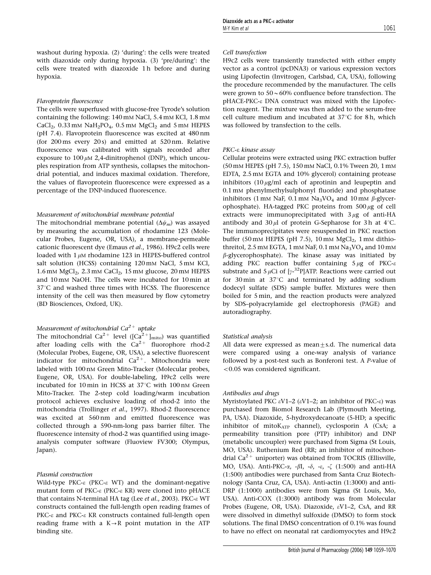#### Flavoprotein fluorescence

The cells were superfused with glucose-free Tyrode's solution containing the following: 140 mM NaCl, 5.4 mM KCl, 1.8 mM CaCl<sub>2</sub>, 0.33 mM NaH<sub>2</sub>PO<sub>4</sub>, 0.5 mM MgCl<sub>2</sub> and 5 mM HEPES (pH 7.4). Flavoprotein fluorescence was excited at 480 nm (for 200 ms every 20 s) and emitted at 520 nm. Relative fluorescence was calibrated with signals recorded after exposure to  $100 \mu M$  2,4-dinitrophenol (DNP), which uncouples respiration from ATP synthesis, collapses the mitochondrial potential, and induces maximal oxidation. Therefore, the values of flavoprotein fluorescence were expressed as a percentage of the DNP-induced fluorescence.

#### Measurement of mitochondrial membrane potential

The mitochondrial membrane potential  $(\Delta \psi_m)$  was assayed by measuring the accumulation of rhodamine 123 (Molecular Probes, Eugene, OR, USA), a membrane-permeable cationic fluorescent dye (Emaus et al., 1986). H9c2 cells were loaded with  $1 \mu$ M rhodamine 123 in HEPES-buffered control salt solution (HCSS) containing 120 mM NaCl, 5 mM KCl,  $1.6$  mm MgCl<sub>2</sub>,  $2.3$  mm CaCl<sub>2</sub>,  $15$  mm glucose,  $20$  mm HEPES and 10 mM NaOH. The cells were incubated for 10 min at 37°C and washed three times with HCSS. The fluorescence intensity of the cell was then measured by flow cytometry (BD Biosciences, Oxford, UK).

## Measurement of mitochondrial Ca<sup>2+</sup> uptake

The mitochondrial Ca<sup>2+</sup> level ([Ca<sup>2+</sup>]<sub>mito</sub>) was quantified after loading cells with the  $Ca^{2+}$  fluorophore rhod-2 (Molecular Probes, Eugene, OR, USA), a selective fluorescent indicator for mitochondrial  $Ca^{2+}$ . Mitochondria were labeled with 100 nM Green Mito-Tracker (Molecular probes, Eugene, OR, USA). For double-labeling, H9c2 cells were incubated for 10 min in HCSS at  $37^{\circ}$ C with 100 nM Green Mito-Tracker. The 2-step cold loading/warm incubation protocol achieves exclusive loading of rhod-2 into the mitochondria (Trollinger et al., 1997). Rhod-2 fluorescence was excited at 560 nm and emitted fluorescence was collected through a 590-nm-long pass barrier filter. The fluorescence intensity of rhod-2 was quantified using imageanalysis computer software (Fluoview FV300; Olympus, Japan).

#### Plasmid construction

Wild-type PKC- $\epsilon$  (PKC- $\epsilon$  WT) and the dominant-negative mutant form of PKC- $\varepsilon$  (PKC- $\varepsilon$  KR) were cloned into pHACE that contains N-terminal HA tag (Lee et al., 2003). PKC-e WT constructs contained the full-length open reading frames of PKC- $\varepsilon$  and PKC- $\varepsilon$  KR constructs contained full-length open reading frame with a  $K \rightarrow R$  point mutation in the ATP binding site.

## Cell transfection

H9c2 cells were transiently transfected with either empty vector as a control (pcDNA3) or various expression vectors using Lipofectin (Invitrogen, Carlsbad, CA, USA), following the procedure recommended by the manufacturer. The cells were grown to  $50 \sim 60\%$  confluence before transfection. The pHACE-PKC-e DNA construct was mixed with the Lipofection reagent. The mixture was then added to the serum-free cell culture medium and incubated at  $37^{\circ}$ C for 8 h, which was followed by transfection to the cells.

#### PKC-e kinase assay

Cellular proteins were extracted using PKC extraction buffer (50 mM HEPES (pH 7.5), 150 mM NaCl, 0.1% Tween 20, 1 mM EDTA, 2.5 mM EGTA and 10% glycerol) containing protease inhibitors  $(10 \mu g/ml$  each of aprotinin and leupeptin and 0.1 mM phenylmethylsulphonyl fluoride) and phosphatase inhibitors (1 mM NaF, 0.1 mM Na<sub>3</sub>VO<sub>4</sub> and 10 mM  $\beta$ -glycerophosphate). HA-tagged PKC proteins from  $500 \mu$ g of cell extracts were immunoprecipitated with  $3 \mu$ g of anti-HA antibody and  $30 \mu l$  of protein G-Sepharose for 3h at 4°C. The immunoprecipitates were resuspended in PKC reaction buffer (50 mM HEPES (pH 7.5), 10 mM  $MgCl<sub>2</sub>$ , 1 mM dithiothreitol, 2.5 mm EGTA, 1 mm NaF, 0.1 mm Na<sub>3</sub>VO<sub>4</sub> and 10 mm  $\beta$ -glycerophosphate). The kinase assay was initiated by adding PKC reaction buffer containing  $5 \mu$ g of PKC- $\varepsilon$ substrate and 5  $\mu$ Ci of [ $\gamma$ -<sup>32</sup>P]ATP. Reactions were carried out for 30 min at  $37^{\circ}$ C and terminated by adding sodium dodecyl sulfate (SDS) sample buffer. Mixtures were then boiled for 5 min, and the reaction products were analyzed by SDS–polyacrylamide gel electrophoresis (PAGE) and autoradiography.

## Statistical analysis

All data were expressed as mean $\pm$ s.d. The numerical data were compared using a one-way analysis of variance followed by a post-test such as Bonferoni test. A P-value of  $<$ 0.05 was considered significant.

#### Antibodies and drugs

Myristoylated PKC  $\varepsilon$ V1–2 ( $\varepsilon$ V1–2; an inhibitor of PKC- $\varepsilon$ ) was purchased from Biomol Research Lab (Plymouth Meeting, PA, USA). Diazoxide, 5-hydroxydecanoate (5-HD; a specific inhibitor of mitoKATP channel), cyclosporin A (CsA; a permeability transition pore (PTP) inhibitor) and DNP (metabolic uncoupler) were purchased from Sigma (St Louis, MO, USA). Ruthenium Red (RR; an inhibitor of mitochondrial  $Ca^{2+}$  uniporter) was obtained from TOCRIS (Ellisville, MO, USA). Anti-PKC- $\alpha$ , - $\beta$ I, - $\delta$ , - $\varepsilon$ , - $\zeta$  (1:500) and anti-HA (1:500) antibodies were purchased from Santa Cruz Biotechnology (Santa Cruz, CA, USA). Anti-actin (1:3000) and anti-DRP (1:1000) antibodies were from Sigma (St Louis, Mo, USA). Anti-COX (1:3000) antibody was from Molecular Probes (Eugene, OR, USA). Diazoxide, eV1–2, CsA, and RR were dissolved in dimethyl sulfoxide (DMSO) to form stock solutions. The final DMSO concentration of 0.1% was found to have no effect on neonatal rat cardiomyocytes and H9c2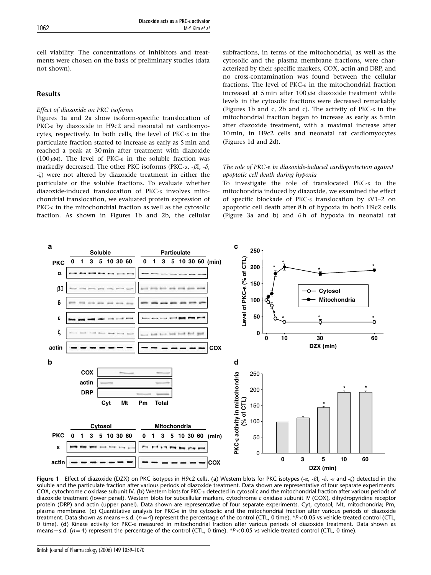cell viability. The concentrations of inhibitors and treatments were chosen on the basis of preliminary studies (data not shown).

## Results

## Effect of diazoxide on PKC isoforms

Figures 1a and 2a show isoform-specific translocation of PKC- $\epsilon$  by diazoxide in H9c2 and neonatal rat cardiomyocytes, respectively. In both cells, the level of  $PKC-\varepsilon$  in the particulate fraction started to increase as early as 5 min and reached a peak at 30 min after treatment with diazoxide (100  $\mu$ M). The level of PKC- $\varepsilon$  in the soluble fraction was markedly decreased. The other PKC isoforms (PKC- $\alpha$ , - $\beta$ I, - $\delta$ ,  $-\zeta$ ) were not altered by diazoxide treatment in either the particulate or the soluble fractions. To evaluate whether diazoxide-induced translocation of PKC-e involves mitochondrial translocation, we evaluated protein expression of PKC- $\varepsilon$  in the mitochondrial fraction as well as the cytosolic fraction. As shown in Figures 1b and 2b, the cellular

subfractions, in terms of the mitochondrial, as well as the cytosolic and the plasma membrane fractions, were characterized by their specific markers, COX, actin and DRP, and no cross-contamination was found between the cellular fractions. The level of PKC- $\varepsilon$  in the mitochondrial fraction increased at 5 min after  $100 \mu$ M diazoxide treatment while levels in the cytosolic fractions were decreased remarkably (Figures 1b and c, 2b and c). The activity of  $PKC-\epsilon$  in the mitochondrial fraction began to increase as early as 5 min after diazoxide treatment, with a maximal increase after 10 min, in H9c2 cells and neonatal rat cardiomyocytes (Figures 1d and 2d).

## The role of PKC-e in diazoxide-induced cardioprotection against apoptotic cell death during hypoxia

To investigate the role of translocated PKC- $\varepsilon$  to the mitochondria induced by diazoxide, we examined the effect of specific blockade of PKC-e translocation by eV1–2 on apoptotic cell death after 8 h of hypoxia in both H9c2 cells (Figure 3a and b) and 6h of hypoxia in neonatal rat



Figure 1 Effect of diazoxide (DZX) on PKC isotypes in H9c2 cells. (a) Western blots for PKC isotypes  $(-\alpha, -\beta I, -\delta, -\epsilon$  and  $-\zeta$ ) detected in the soluble and the particulate fraction after various periods of diazoxide treatment. Data shown are representative of four separate experiments. COX, cytochrome c oxidase subunit IV. (b) Western blots for PKC-<sup>e</sup> detected in cytosolic and the mitochondrial fraction after various periods of diazoxide treatment (lower panel). Western blots for subcellular markers, cytochrome c oxidase subunit IV (COX), dihydropyridine receptor protein (DRP) and actin (upper panel). Data shown are representative of four separate experiments. Cyt, cytosol; Mt, mitochondria; Pm, plasma membrane. (c) Quantitative analysis for PKC-& in the cytosolic and the mitochondrial fraction after various periods of diazoxide treatment. Data shown as means  $\pm$  s.d. (n = 4) represent the percentage of the control (CTL, 0 time). \*P<0.05 vs vehicle-treated control (CTL, 0 time). (d) Kinase activity for PKC- $\varepsilon$  measured in mitochondrial fraction after various periods of diazoxide treatment. Data shown as means  $\pm$  s.d. (n = 4) represent the percentage of the control (CTL, 0 time). \*P<0.05 vs vehicle-treated control (CTL, 0 time).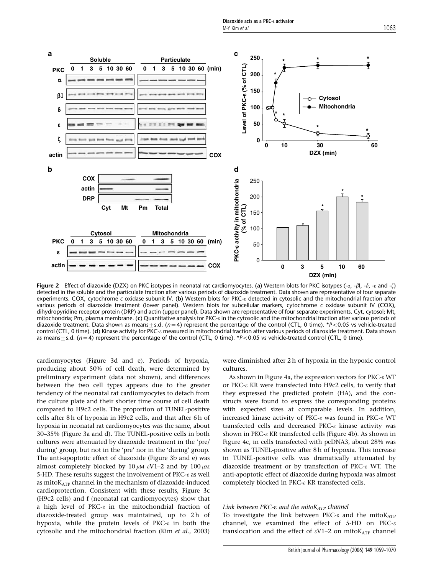

Figure 2 Effect of diazoxide (DZX) on PKC isotypes in neonatal rat cardiomyocytes. (a) Western blots for PKC isotypes (- $\alpha$ , - $\beta$ l, - $\delta$ , - $\varepsilon$  and - $\zeta$ ) detected in the soluble and the particulate fraction after various periods of diazoxide treatment. Data shown are representative of four separate experiments. COX, cytochrome c oxidase subunit IV. (b) Western blots for PKC-e detected in cytosolic and the mitochondrial fraction after various periods of diazoxide treatment (lower panel). Western blots for subcellular markers, cytochrome c oxidase subunit IV (COX), dihydropyridine receptor protein (DRP) and actin (upper panel). Data shown are representative of four separate experiments. Cyt, cytosol; Mt, mitochondria; Pm, plasma membrane. (c) Quantitative analysis for PKC- $\varepsilon$  in the cytosolic and the mitochondrial fraction after various periods of diazoxide treatment. Data shown as means $\pm$ s.d. (n=4) represent the percentage of the control (CTL, 0 time). \*P<0.05 vs vehicle-treated control (CTL, 0 time). (d) Kinase activity for PKC-e measured in mitochondrial fraction after various periods of diazoxide treatment. Data shown as means  $\pm$  s.d. (n = 4) represent the percentage of the control (CTL, 0 time). \*P<0.05 vs vehicle-treated control (CTL, 0 time).

cardiomyocytes (Figure 3d and e). Periods of hypoxia, producing about 50% of cell death, were determined by preliminary experiment (data not shown), and differences between the two cell types appears due to the greater tendency of the neonatal rat cardiomyocytes to detach from the culture plate and their shorter time course of cell death compared to H9c2 cells. The proportion of TUNEL-positive cells after 8 h of hypoxia in H9c2 cells, and that after 6 h of hypoxia in neonatal rat cardiomyocytes was the same, about 30–35% (Figure 3a and d). The TUNEL-positive cells in both cultures were attenuated by diazoxide treatment in the 'pre/ during' group, but not in the 'pre' nor in the 'during' group. The anti-apoptotic effect of diazoxide (Figure 3b and e) was almost completely blocked by 10  $\mu$ M  $\epsilon$ V1–2 and by 100  $\mu$ M 5-HD. These results suggest the involvement of  $PKC-\epsilon$  as well as mito $K_{ATP}$  channel in the mechanism of diazoxide-induced cardioprotection. Consistent with these results, Figure 3c (H9c2 cells) and f (neonatal rat cardiomyocytes) show that a high level of PKC- $\varepsilon$  in the mitochondrial fraction of diazoxide-treated group was maintained, up to 2h of hypoxia, while the protein levels of PKC- $\varepsilon$  in both the cytosolic and the mitochondrial fraction (Kim et al., 2003) were diminished after 2 h of hypoxia in the hypoxic control cultures.

As shown in Figure 4a, the expression vectors for PKC-e WT or PKC-e KR were transfected into H9c2 cells, to verify that they expressed the predicted protein (HA), and the constructs were found to express the corresponding proteins with expected sizes at comparable levels. In addition, increased kinase activity of PKC-e was found in PKC-e WT transfected cells and decreased PKC-e kinase activity was shown in PKC- $\epsilon$  KR transfected cells (Figure 4b). As shown in Figure 4c, in cells transfected with pcDNA3, about 28% was shown as TUNEL-positive after 8 h of hypoxia. This increase in TUNEL-positive cells was dramatically attenuated by diazoxide treatment or by transfection of PKC-e WT. The anti-apoptotic effect of diazoxide during hypoxia was almost completely blocked in PKC-e KR transfected cells.

#### Link between PKC- $\varepsilon$  and the mito $K_{ATP}$  channel

To investigate the link between PKC- $\epsilon$  and the mitoK<sub>ATP</sub> channel, we examined the effect of 5-HD on PKC- $\varepsilon$ translocation and the effect of  $\epsilon V1-2$  on mitoK<sub>ATP</sub> channel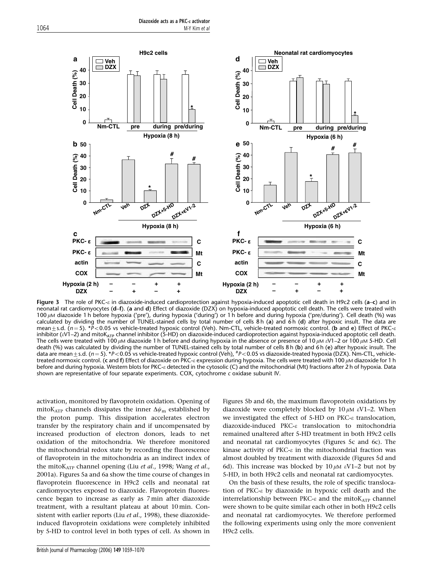

Figure 3 The role of PKC-e in diazoxide-induced cardioprotection against hypoxia-induced apoptotic cell death in H9c2 cells (a–c) and in neonatal rat cardiomyocytes (d–f). (a and d) Effect of diazoxide (DZX) on hypoxia-induced apoptotic cell death. The cells were treated with 100  $\mu$ M diazoxide 1 h before hypoxia ('pre'), during hypoxia ('during') or 1 h before and during hypoxia ('pre/during'). Cell death (%) was calculated by dividing the number of TUNEL-stained cells by total number of cells 8 h (a) and 6 h (d) after hypoxic insult. The data are mean $\pm$ s.d. (n=5). \*P<0.05 vs vehicle-treated hypoxic control (Veh). Nm-CTL, vehicle-treated normoxic control. (b and e) Effect of PKC- $\varepsilon$ inhibitor (eV1-2) and mitoKATP channel inhibitor (5-HD) on diazoxide-induced cardioprotection against hypoxia-induced apoptotic cell death. The cells were treated with 100  $\mu$ M diazoxide 1 h before and during hypoxia in the absence or presence of 10  $\mu$ M  $\epsilon$ V1–2 or 100  $\mu$ M 5-HD. Cell death (%) was calculated by dividing the number of TUNEL-stained cells by total number of cells 8 h (b) and 6 h (e) after hypoxic insult. The data are mean $\pm$ s.d. (n=5). \*P<0.05 vs vehicle-treated hypoxic control (Veh),  $^{\#}$ P<0.05 vs diazoxide-treated hypoxia (DZX). Nm-CTL, vehicletreated normoxic control. (c and f) Effect of diazoxide on PKC- $\varepsilon$  expression during hypoxia. The cells were treated with 100  $\mu$ M diazoxide for 1 h before and during hypoxia. Western blots for PKC- $\varepsilon$  detected in the cytosolic (C) and the mitochondrial (Mt) fractions after 2 h of hypoxia. Data shown are representative of four separate experiments. COX, cytochrome c oxidase subunit IV.

activation, monitored by flavoprotein oxidation. Opening of mitoK<sub>ATP</sub> channels dissipates the inner  $\Delta\psi_m$  established by the proton pump. This dissipation accelerates electron transfer by the respiratory chain and if uncompensated by increased production of electron donors, leads to net oxidation of the mitochondria. We therefore monitored the mitochondrial redox state by recording the fluorescence of flavoprotein in the mitochondria as an indirect index of the mitoK<sub>ATP</sub> channel opening (Liu et al., 1998; Wang et al., 2001a). Figures 5a and 6a show the time course of changes in flavoprotein fluorescence in H9c2 cells and neonatal rat cardiomyocytes exposed to diazoxide. Flavoprotein fluorescence began to increase as early as 7 min after diazoxide treatment, with a resultant plateau at about 10 min. Consistent with earlier reports (Liu et al., 1998), these diazoxideinduced flavoprotein oxidations were completely inhibited by 5-HD to control level in both types of cell. As shown in

Figures 5b and 6b, the maximum flavoprotein oxidations by diazoxide were completely blocked by  $10 \mu M \varepsilon V1-2$ . When we investigated the effect of 5-HD on PKC-e translocation, diazoxide-induced PKC-e translocation to mitochondria remained unaltered after 5-HD treatment in both H9c2 cells and neonatal rat cardiomyocytes (Figures 5c and 6c). The kinase activity of PKC- $\varepsilon$  in the mitochondrial fraction was almost doubled by treatment with diazoxide (Figures 5d and 6d). This increase was blocked by  $10 \mu M \varepsilon V1-2$  but not by 5-HD, in both H9c2 cells and neonatal rat cardiomyocytes.

On the basis of these results, the role of specific translocation of PKC-e by diazoxide in hypoxic cell death and the interrelationship between PKC- $\varepsilon$  and the mito $K_{ATP}$  channel were shown to be quite similar each other in both H9c2 cells and neonatal rat cardiomyocytes. We therefore performed the following experiments using only the more convenient H9c2 cells.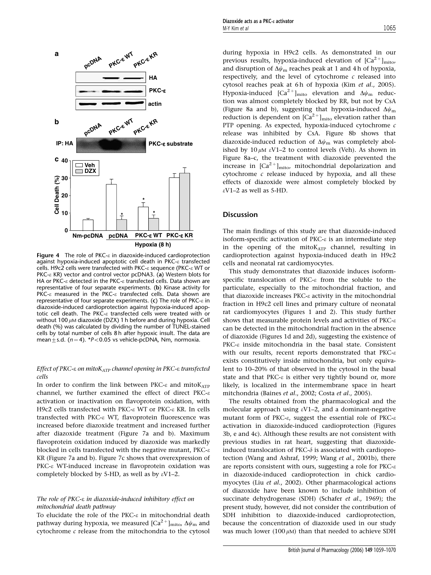

Figure 4 The role of PKC- $\varepsilon$  in diazoxide-induced cardioprotection against hypoxia-induced apoptotic cell death in PKC- $\varepsilon$  transfected cells. H9c2 cells were transfected with PKC- $\varepsilon$  sequence (PKC- $\varepsilon$  WT or PKC- $\epsilon$  KR) vector and control vector pcDNA3. (a) Western blots for HA or PKC- $\varepsilon$  detected in the PKC- $\varepsilon$  transfected cells. Data shown are representative of four separate experiments. (b) Kinase activity for PKC- $\epsilon$  measured in the PKC- $\epsilon$  transfected cells. Data shown are representative of four separate experiments. (c) The role of PKC- $\varepsilon$  in diazoxide-induced cardioprotection against hypoxia-induced apoptotic cell death. The PKC-e transfected cells were treated with or without 100  $\mu$ M diazoxide (DZX) 1 h before and during hypoxia. Cell death (%) was calculated by dividing the number of TUNEL-stained cells by total number of cells 8 h after hypoxic insult. The data are mean+s.d. ( $n = 4$ ). \*P<0.05 vs vehicle-pcDNA, Nm, normoxia.

## Effect of PKC- $\epsilon$  on mito $K_{ATP}$  channel opening in PKC- $\epsilon$  transfected cells

In order to confirm the link between PKC- $\varepsilon$  and mitoK<sub>ATP</sub> channel, we further examined the effect of direct PKC- $\varepsilon$ activation or inactivation on flavoprotein oxidation, with H9c2 cells transfected with PKC- $\epsilon$  WT or PKC- $\epsilon$  KR. In cells transfected with PKC-e WT, flavoprotein fluorescence was increased before diazoxide treatment and increased further after diazoxide treatment (Figure 7a and b). Maximum flavoprotein oxidation induced by diazoxide was markedly blocked in cells transfected with the negative mutant,  $PKC-\epsilon$ KR (Figure 7a and b). Figure 7c shows that overexpression of PKC- $\epsilon$  WT-induced increase in flavoprotein oxidation was completely blocked by 5-HD, as well as by  $\varepsilon$ V1–2.

## The role of PKC-e in diazoxide-induced inhibitory effect on mitochondrial death pathway

To elucidate the role of the PKC- $\varepsilon$  in mitochondrial death pathway during hypoxia, we measured  $[Ca^{2+}]_{\text{mito}}$ ,  $\Delta\psi_{\text{m}}$  and cytochrome c release from the mitochondria to the cytosol during hypoxia in H9c2 cells. As demonstrated in our previous results, hypoxia-induced elevation of  $[Ca^{2+}]_{mito}$ , and disruption of  $\Delta\psi_m$  reaches peak at 1 and 4 h of hypoxia, respectively, and the level of cytochrome  $c$  released into cytosol reaches peak at 6 h of hypoxia (Kim et al., 2005). Hypoxia-induced  $[Ca^{2+}]_{\text{mito}}$  elevation and  $\Delta\psi_{\text{m}}$  reduction was almost completely blocked by RR, but not by CsA (Figure 8a and b), suggesting that hypoxia-induced  $\Delta\psi_m$ reduction is dependent on  $[Ca^{2+}]_{\text{mito}}$  elevation rather than PTP opening. As expected, hypoxia-induced cytochrome  $c$ release was inhibited by CsA. Figure 8b shows that diazoxide-induced reduction of  $\Delta\psi_m$  was completely abolished by  $10 \mu M \varepsilon V1-2$  to control levels (Veh). As shown in Figure 8a–c, the treatment with diazoxide prevented the increase in  $[Ca^{2+}]_{mito}$ , mitochondrial depolarization and cytochrome  $c$  release induced by hypoxia, and all these effects of diazoxide were almost completely blocked by  $\epsilon$ V1–2 as well as 5-HD.

## **Discussion**

The main findings of this study are that diazoxide-induced isoform-specific activation of PKC- $\varepsilon$  is an intermediate step in the opening of the mitoKATP channel, resulting in cardioprotection against hypoxia-induced death in H9c2 cells and neonatal rat cardiomyocytes.

This study demonstrates that diazoxide induces isoformspecific translocation of PKC-e from the soluble to the particulate, especially to the mitochondrial fraction, and that diazoxide increases PKC-e activity in the mitochondrial fraction in H9c2 cell lines and primary culture of neonatal rat cardiomyocytes (Figures 1 and 2). This study further shows that measurable protein levels and activities of  $PKC-\varepsilon$ can be detected in the mitochondrial fraction in the absence of diazoxide (Figures 1d and 2d), suggesting the existence of PKC- $\varepsilon$  inside mitochondria in the basal state. Consistent with our results, recent reports demonstrated that  $PKC-\varepsilon$ exists constitutively inside mitochondria, but only equivalent to 10–20% of that observed in the cytosol in the basal state and that PKC- $\varepsilon$  is either very tightly bound or, more likely, is localized in the intermembrane space in heart mitchondria (Baines et al., 2002; Costa et al., 2005).

The results obtained from the pharmacological and the molecular approach using  $\varepsilon$ V1–2, and a dominant-negative mutant form of PKC- $\varepsilon$ , suggest the essential role of PKC- $\varepsilon$ activation in diazoxide-induced cardioprotection (Figures 3b, e and 4c). Although these results are not consistent with previous studies in rat heart, suggesting that diazoxideinduced translocation of PKC- $\delta$  is associated with cardioprotection (Wang and Ashraf, 1999; Wang et al., 2001b), there are reports consistent with ours, suggesting a role for  $PKC-\varepsilon$ in diazoxide-induced cardioprotection in chick cardiomyocytes (Liu et al., 2002). Other pharmacological actions of diazoxide have been known to include inhibition of succinate dehydrogenase (SDH) (Schafer et al., 1969); the present study, however, did not consider the contribution of SDH inhibition to diazoxide-induced cardioprotection, because the concentration of diazoxide used in our study was much lower (100  $\mu$ M) than that needed to achieve SDH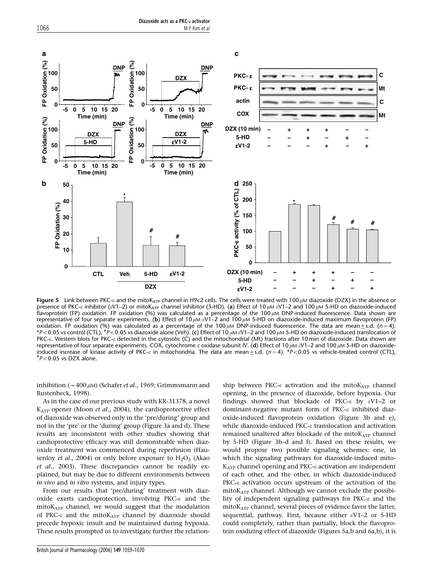

Figure 5 Link between PKC- $\varepsilon$  and the mitoK<sub>ATP</sub> channel in H9c2 cells. The cells were treated with 100  $\mu$ M diazoxide (DZX) in the absence or presence of PKC- $\epsilon$  inhibitor ( $\epsilon V1-2$ ) or mitoK<sub>ATP</sub> channel inhibitor (5-HD). (a) Effect of 10  $\mu$ M  $\epsilon V1-2$  and 100  $\mu$ M 5-HD on diazoxide-induced flavoprotein (FP) oxidation. FP oxidation (%) was calculated as a percentage of the 100 µM DNP-induced fluorescence. Data shown are representative of four separate experiments. (b) Effect of 10  $\mu$ M  $eV1-2$  and 100  $\mu$ M 5-HD on diazoxide-induced maximum flavoprotein (FP) oxidation. FP oxidation (%) was calculated as a percentage of the 100  $\mu$ M DNP-induced fluorescence. The data are mean $\pm$ s.d. (n=4). \*P<0.05 vs control (CTL),  $^{\#}P$ <0.05 vs diazoxide alone (Veh). (c) Effect of 10  $\mu$ m  $e$ V1–2 and 100  $\mu$ m 5-HD on diazoxide-induced translocation of PKC-e. Western blots for PKC-e detected in the cytosolic (C) and the mitochondrial (Mt) fractions after 10 min of diazoxide. Data shown are representative of four separate experiments. COX, cytochrome c oxidase subunit IV. (d) Effect of 10  $\mu$ M  $\epsilon$ V1–2 and 100  $\mu$ M 5-HD on diazoxideinduced increase of kinase activity of PKC- $\varepsilon$  in mitochondria. The data are mean $\pm$ s.d. (n=4). \*P<0.05 vs vehicle-treated control (CTL),  $P$ <0.05 vs DZX alone.

inhibition ( $\sim$  400  $\mu$ M) (Schafer *et al.*, 1969; Grimmsmann and Rustenbeck, 1998).

As in the case of our previous study with KR-31378, a novel KATP opener (Moon et al., 2004), the cardioprotective effect of diazoxide was observed only in the 'pre/during' group and not in the 'pre' or the 'during' group (Figure 3a and d). These results are inconsistent with other studies showing that cardioprotective efficacy was still demonstrable when diazoxide treatment was commenced during reperfusion (Hausenloy *et al.*, 2004) or only before exposure to  $H_2O_2$  (Akao et al., 2003). These discrepancies cannot be readily explained, but may be due to different environments between in vivo and in vitro systems, and injury types.

From our results that 'pre/during' treatment with diazoxide exerts cardioprotection, involving PKC-e and the mitoK<sub>ATP</sub> channel, we would suggest that the modulation of PKC- $\varepsilon$  and the mito $K_{ATP}$  channel by diazoxide should precede hypoxic insult and be maintained during hypoxia. These results prompted us to investigate further the relationfindings showed that blockade of PKC- $\varepsilon$  by  $\varepsilon$ V1–2 or dominant-negative mutant form of  $PKC-\varepsilon$  inhibited diazoxide-induced flavoprotein oxidation (Figure 3b and e), while diazoxide-induced PKC-e translocation and activation remained unaltered after blockade of the mito $K_{ATP}$  channel by 5-HD (Figure 3b–d and f). Based on these results, we would propose two possible signaling schemes: one, in which the signaling pathways for diazoxide-induced mito- $K_{ATP}$  channel opening and PKC- $\varepsilon$  activation are independent of each other, and the other, in which diazoxide-induced PKC- $\varepsilon$  activation occurs upstream of the activation of the mitoK<sub>ATP</sub> channel. Although we cannot exclude the possibility of independent signaling pathways for PKC-e and the  $mitoK<sub>ATP</sub> channel, several pieces of evidence favor the latter,$ sequential, pathway. First, because either  $\varepsilon$ V1–2 or 5-HD could completely, rather than partially, block the flavoprotein oxidizing effect of diazoxide (Figures 5a,b and 6a,b), it is

ship between PKC- $\varepsilon$  activation and the mitoK<sub>ATP</sub> channel opening, in the presence of diazoxide, before hypoxia. Our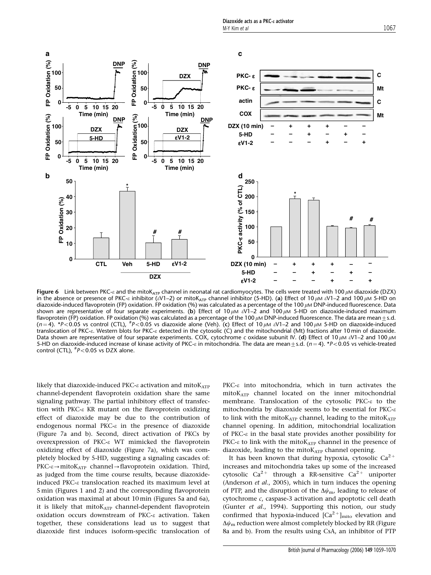

Figure 6 Link between PKC- $\varepsilon$  and the mitoK<sub>ATP</sub> channel in neonatal rat cardiomyocytes. The cells were treated with 100  $\mu$ M diazoxide (DZX) in the absence or presence of PKC- $\varepsilon$  inhibitor ( $\varepsilon$ V1–2) or mitoK<sub>ATP</sub> channel inhibitor (5-HD). (a) Effect of 10  $\mu$ M  $\varepsilon$ V1–2 and 100  $\mu$ M 5-HD on diazoxide-induced flavoprotein (FP) oxidation. FP oxidation (%) was calculated as a percentage of the 100  $\mu$ M DNP-induced fluorescence. Data shown are representative of four separate experiments. (b) Effect of 10  $\mu$ M  $\varepsilon$ V1–2 and 100  $\mu$ M 5-HD on diazoxide-induced maximum flavoprotein (FP) oxidation. FP oxidation (%) was calculated as a percentage of the 100  $\mu$ M DNP-induced fluorescence. The data are mean $\pm$ s.d.  $(n=4)$ . \*P<0.05 vs control (CTL),  ${}^{#}P<0.05$  vs diazoxide alone (Veh). (c) Effect of 10  $\mu$ M  $\varepsilon$ V1–2 and 100  $\mu$ M 5-HD on diazoxide-induced translocation of PKC-e. Western blots for PKC-e detected in the cytosolic (C) and the mitochondrial (Mt) fractions after 10 min of diazoxide. Data shown are representative of four separate experiments. COX, cytochrome c oxidase subunit IV. (d) Effect of 10  $\mu$ M  $\epsilon$ V1–2 and 100  $\mu$ M 5-HD on diazoxide-induced increase of kinase activity of PKC- $\varepsilon$  in mitochondria. The data are mean $\pm$ s.d. (n = 4). \*P<0.05 vs vehicle-treated control (CTL),  $^{#}P<0.05$  vs DZX alone.

likely that diazoxide-induced PKC- $\varepsilon$  activation and mitoK $_{\text{ATP}}$ channel-dependent flavoprotein oxidation share the same signaling pathway. The partial inhibitory effect of transfection with PKC- $\epsilon$  KR mutant on the flavoprotein oxidizing effect of diazoxide may be due to the contribution of endogenous normal PKC-e in the presence of diazoxide (Figure 7a and b). Second, direct activation of PKCs by overexpression of PKC-e WT mimicked the flavoprotein oxidizing effect of diazoxide (Figure 7a), which was completely blocked by 5-HD, suggesting a signaling cascades of:  $PKC-\epsilon \rightarrow mitoK_{ATP}$  channel  $\rightarrow$  flavoprotein oxidation. Third, as judged from the time course results, because diazoxideinduced PKC-e translocation reached its maximum level at 5 min (Figures 1 and 2) and the corresponding flavoprotein oxidation was maximal at about 10 min (Figures 5a and 6a), it is likely that  $mitoK_{ATP}$  channel-dependent flavoprotein oxidation occurs downstream of PKC-e activation. Taken together, these considerations lead us to suggest that diazoxide first induces isoform-specific translocation of PKC- $\varepsilon$  into mitochondria, which in turn activates the mitoKATP channel located on the inner mitochondrial membrane. Translocation of the cytosolic PKC-e to the mitochondria by diazoxide seems to be essential for  $PKC-\varepsilon$ to link with the mito $K_{ATP}$  channel, leading to the mito $K_{ATP}$ channel opening. In addition, mitochondrial localization of PKC- $\varepsilon$  in the basal state provides another possibility for PKC- $\varepsilon$  to link with the mitoK<sub>ATP</sub> channel in the presence of diazoxide, leading to the mitoKATP channel opening.

It has been known that during hypoxia, cytosolic  $Ca^{2+}$ increases and mitochondria takes up some of the increased cytosolic Ca<sup>2+</sup> through a RR-sensitive Ca<sup>2+</sup> uniporter (Anderson et al., 2005), which in turn induces the opening of PTP, and the disruption of the  $\Delta\psi_{\rm m}$ , leading to release of cytochrome c, caspase-3 activation and apoptotic cell death (Gunter et al., 1994). Supporting this notion, our study confirmed that hypoxia-induced  $[Ca^{2+}]_{\text{mito}}$  elevation and  $\Delta\psi_m$  reduction were almost completely blocked by RR (Figure 8a and b). From the results using CsA, an inhibitor of PTP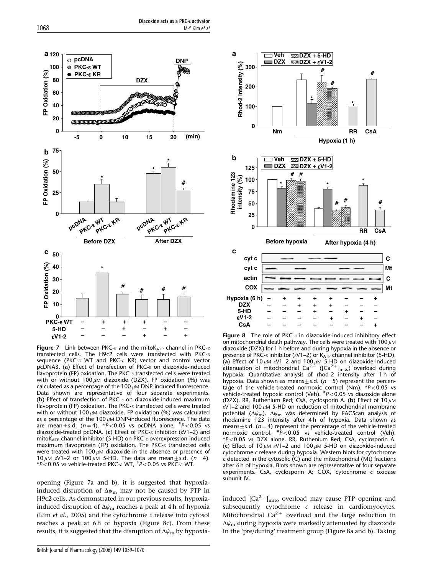

Figure 7 Link between PKC- $\varepsilon$  and the mitoK<sub>ATP</sub> channel in PKC- $\varepsilon$ transfected cells. The H9c2 cells were transfected with PKC- $\varepsilon$ sequence (PKC- $\epsilon$  WT and PKC- $\epsilon$  KR) vector and control vector pcDNA3. (a) Effect of transfection of PKC- $\varepsilon$  on diazoxide-induced flavoprotein (FP) oxidation. The PKC- $\varepsilon$  transfected cells were treated with or without 100  $\mu$ M diazoxide (DZX). FP oxidation (%) was calculated as a percentage of the 100  $\mu$ M DNP-induced fluorescence. Data shown are representative of four separate experiments. (b) Effect of transfection of PKC- $\varepsilon$  on diazoxide-induced maximum flavoprotein (FP) oxidation. The PKC- $\varepsilon$  transfected cells were treated with or without 100  $\mu$ M diazoxide. FP oxidation (%) was calculated as a percentage of the 100  $\mu$ M DNP-induced fluorescence. The data are mean  $\pm$  s.d. (n = 4). \*P < 0.05 vs pcDNA alone,  $^{#}P$  < 0.05 vs diazoxide-treated pcDNA. (c) Effect of PKC- $\varepsilon$  inhibitor ( $\varepsilon$ V1–2) and mito $K_{ATP}$  channel inhibitor (5-HD) on PKC- $\varepsilon$  overexpression-induced maximum flavoprotein (FP) oxidation. The PKC- $\varepsilon$  transfected cells were treated with 100  $\mu$ M diazoxide in the absence or presence of 10  $\mu$ M  $\epsilon$ V1–2 or 100  $\mu$ M 5-HD. The data are mean+s.d. (n = 4). \*P<0.05 vs vehicle-treated PKC- $\varepsilon$  WT,  $^{#}P$ <0.05 vs PKC- $\varepsilon$  WT.

opening (Figure 7a and b), it is suggested that hypoxiainduced disruption of  $\Delta\psi_m$  may not be caused by PTP in H9c2 cells. As demonstrated in our previous results, hypoxiainduced disruption of  $\Delta\psi_m$  reaches a peak at 4 h of hypoxia (Kim et al., 2005) and the cytochrome  $c$  release into cytosol reaches a peak at 6h of hypoxia (Figure 8c). From these results, it is suggested that the disruption of  $\Delta\psi_m$  by hypoxia-



**Figure 8** The role of PKC- $\varepsilon$  in diazoxide-induced inhibitory effect on mitochondrial death pathway. The cells were treated with 100  $\mu$ M diazoxide (DZX) for 1 h before and during hypoxia in the absence or presence of PKC- $\varepsilon$  inhibitor ( $\varepsilon$ V1–2) or K<sub>ATP</sub> channel inhibitor (5-HD). (a) Effect of 10  $\mu$ M eV1–2 and 100  $\mu$ M 5-HD on diazoxide-induced attenuation of mitochondrial Ca<sup>2+</sup> ([Ca<sup>2+</sup>]<sub>mito</sub>) overload during attenuation of mitochondrial Ca<sup>2+</sup> ([Ca<sup>2+</sup>]<sub>mito</sub>) overload during hypoxia. Quantitative analysis of rhod-2 intensity after 1 h of hypoxia. Data shown as means  $\pm$  s.d. (n = 5) represent the percentage of the vehicle-treated normoxic control (Nm).  $*P<0.05$  vs vehicle-treated hypoxic control (Veh).  $^{\#}P\!<\!0.05$  vs diazoxide alone (DZX). RR, Ruthenium Red; CsA, cyclosporin A. (b) Effect of 10  $\mu$ M  $\epsilon$ V1–2 and 100  $\mu$ M 5-HD on reduction of mitochondrial membrane potential ( $\Delta\psi_m$ ).  $\Delta\psi_m$  was determined by FACScan analysis of rhodamine 123 intensity after 4 h of hypoxia. Data shown as means±s.d. (*n* = 4) represent the percentage of the vehicle-treated<br>normoxic control. #P<0.05 vs vehicle-treated control (Veh). \*P<0.05 vs DZX alone. RR, Ruthenium Red; CsA, cyclosporin A. (c) Effect of 10  $\mu$ M  $\varepsilon$ V1–2 and 100  $\mu$ M 5-HD on diazoxide-induced cytochrome c release during hypoxia. Western blots for cytochrome c detected in the cytosolic (C) and the mitochondrial (Mt) fractions after 6 h of hypoxia. Blots shown are representative of four separate experiments. CsA, cyclosporin A; COX, cytochrome c oxidase subunit IV.

induced  $[Ca^{2+}]_{\text{mito}}$  overload may cause PTP opening and subsequently cytochrome c release in cardiomyocytes. Mitochondrial  $Ca^{2+}$  overload and the large reduction in  $\Delta\psi_m$  during hypoxia were markedly attenuated by diazoxide in the 'pre/during' treatment group (Figure 8a and b). Taking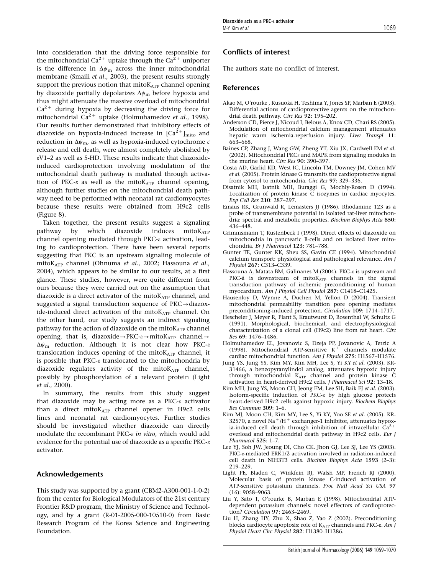into consideration that the driving force responsible for the mitochondrial Ca<sup>2+</sup> uptake through the Ca<sup>2+</sup> uniporter is the difference in  $\Delta\psi_m$  across the inner mitochondrial membrane (Smaili et al., 2003), the present results strongly support the previous notion that mitoKATP channel opening by diazoxide partially depolarizes  $\Delta\psi_m$  before hypoxia and thus might attenuate the massive overload of mitochondrial  $Ca^{2+}$  during hypoxia by decreasing the driving force for mitochondrial Ca<sup>2+</sup> uptake (Holmuhamedov *et al.*, 1998). Our results further demonstrated that inhibitory effects of diazoxide on hypoxia-induced increase in  $[Ca^{2+}]_{\text{mito}}$  and reduction in  $\Delta\psi$ <sub>m</sub>, as well as hypoxia-induced cytochrome c release and cell death, were almost completely abolished by  $\varepsilon$ V1–2 as well as 5-HD. These results indicate that diazoxideinduced cardioprotection involving modulation of the mitochondrial death pathway is mediated through activation of PKC- $\varepsilon$  as well as the mitoK<sub>ATP</sub> channel opening, although further studies on the mitochondrial death pathway need to be performed with neonatal rat cardiomyocytes because these results were obtained from H9c2 cells (Figure 8).

Taken together, the present results suggest a signaling pathway by which diazoxide induces mitoKATP channel opening mediated through PKC-e activation, leading to cardioprotection. There have been several reports suggesting that PKC is an upstream signaling molecule of mitoKATP channel (Ohnuma et al., 2002; Hassouna et al., 2004), which appears to be similar to our results, at a first glance. These studies, however, were quite different from ours because they were carried out on the assumption that diazoxide is a direct activator of the mitoKATP channel, and suggested a signal transduction sequence of  $PKC \rightarrow diazox$ ide-induced direct activation of the mitoKATP channel. On the other hand, our study suggests an indirect signaling pathway for the action of diazoxide on the mito $K_{ATP}$  channel opening, that is, diazoxide $\rightarrow$ PKC- $\varepsilon \rightarrow$ mitoK<sub>ATP</sub> channel $\rightarrow$  $\Delta\psi_m$  reduction. Although it is not clear how PKC- $\varepsilon$ translocation induces opening of the mito $K_{ATP}$  channel, it is possible that PKC- $\varepsilon$  translocated to the mitochondria by diazoxide regulates activity of the mito $K_{ATP}$  channel, possibly by phosphorylation of a relevant protein (Light et al., 2000).

In summary, the results from this study suggest that diazoxide may be acting more as a PKC- $\varepsilon$  activator than a direct mito $K_{ATP}$  channel opener in H9c2 cells lines and neonatal rat cardiomyocytes. Further studies should be investigated whether diazoxide can directly modulate the recombinant PKC- $\varepsilon$  in vitro, which would add evidence for the potential use of diazoxide as a specific PKC- $\varepsilon$ activator.

## Acknowledgements

This study was supported by a grant (CBM2-A300-001-1-0-2) from the center for Biological Modulators of the 21st century Frontier R&D program, the Ministry of Science and Technology, and by a grant (R-01-2005-000-10510-0) from Basic Research Program of the Korea Science and Engineering Foundation.

## Conflicts of interest

The authors state no conflict of interest.

## References

- Akao M, O'rourke , Kusuoka H, Teshima Y, Jones SP, Marban E (2003). Differential actions of cardioprotective agents on the mitochondrial death pathway. Circ Res 92: 195–202.
- Anderson CD, Pierce J, Nicoud I, Belous A, Knox CD, Chari RS (2005). Modulation of mitochondrial calcium management attenuates hepatic warm ischemia-reperfusion injury. Liver Transpl 11: 663–668.
- Baines CP, Zhang J, Wang GW, Zheng YT, Xiu JX, Cardwell EM et al. (2002). Mitochondrial PKCe and MAPK from signaling modules in the murine heart. Circ Res 90: 390–397.
- Costa AD, Garlid KD, West IC, Lincoln TM, Downey JM, Cohen MV et al. (2005). Protein kinase G transmits the cardioprotective signal from cytosol to mitochondria. Circ Res 97: 329–336.
- Disatnik MH, Isatnik MH, Buraggi G, Mochly-Rosen D (1994). Localization of protein kinase C isozymes in cardiac myocytes. Exp Cell Res 210: 287–297.
- Emaus RK, Grunwald R, Lemasters JJ (1986). Rhodamine 123 as a probe of transmembrane potential in isolated rat-liver mitochondria: spectral and metabolic properties. Biochim Biophys Acta 850: 436–448.
- Grimmsmann T, Rustenbeck I (1998). Direct effects of diazoxide on mitochondria in pancreatic B-cells and on isolated liver mitochondria. Br J Pharmacol 123: 781–788.
- Gunter TE, Gunter KK, Sheu SS, Gavin CE (1994). Mitochondrial calcium transport: physiological and pathological relevance. Am J Physiol 267: C313–C339.
- Hassouna A, Matata BM, Galinanes M (2004). PKC-e is upstream and PKC-á is downstream of mitoKATP channels in the signal transduction pathway of ischemic preconditioning of human myocardium. Am J Physiol Cell Physiol 287: C1418–C1425.
- Hausenloy D, Wynne A, Duchen M, Yellon D (2004). Transient mitochondrial permeability transition pore opening mediates preconditioning-induced protection. Circulation 109: 1714–1717.
- Hescheler J, Meyer R, Plant S, Krautwurst D, Rosenthal W, Schultz G (1991). Morphological, biochemical, and electrophysiological characterization of a clonal cell (H9c2) line from rat heart. Circ Res 69: 1476–1486.
- Holmuhamedov EL, Jovanovic S, Dzeja PP, Jovanovic A, Terzic A (1998). Mitochondrial ATP-sensitive  $K^+$  channels modulate cardiac mitochondrial function. Am J Physiol 275: H1567–H1576.
- Jung YS, Jung YS, Kim MY, Kim MH, Lee S, Yi KY et al. (2003). KR-31466, a benzopyranylindol analog, attenuates hypoxic injury through mitochondrial KATP channel and protein kinase C activation in heart-derived H9c2 cells. J Pharmacol Sci 92: 13–18.
- Kim MH, Jung YS, Moon CH, Jeong EM, Lee SH, Baik EJ et al. (2003). Isoform-specific induction of PKC-e by high glucose protects heart-derived H9c2 cells against hypoxic injury. Biochem Biophys Res Commun 309: 1–6.
- Kim MJ, Moon CH, Kim MY, Lee S, Yi KY, Yoo SE et al. (2005). KR-32570, a novel Na<sup>+</sup>/H<sup>+</sup> exchanger-1 inhibitor, attenuates hypoxia-induced cell death through inhibition of intracellular  $Ca^{2+}$ overload and mitochondrial death pathway in H9c2 cells. Eur J Pharmacol 525: 1–7.
- Lee YJ, Soh JW, Jeoung DI, Cho CK. Jhon GJ, Lee SJ, Lee YS (2003). PKC-&-mediated ERK1/2 activation involved in radiation-induced cell death in NIH3T3 cells. Biochim Biophys Acta 1593 (2-3): 219–229.
- Light PE, Bladen C, Winkfein RJ, Walsh MP, French RJ (2000). Molecular basis of protein kinase C-induced activation of ATP-sensitive potassium channels. Proc Natl Acad Sci USA 97 (16): 9058–9063.
- Liu Y, Sato T, O'rourke B, Marban E (1998). Mitochondrial ATPdependent potassium channels: novel effectors of cardioprotection? Circulation 97: 2463–2469.
- Liu H, Zhang HY, Zhu X, Shao Z, Yao Z (2002). Preconditioning blocks cardiocyte apoptosis: role of  $K_{ATP}$  channels and PKC- $\varepsilon$ . Am  $\overline{I}$ Physiol Heart Circ Physiol 282: H1380–H1386.